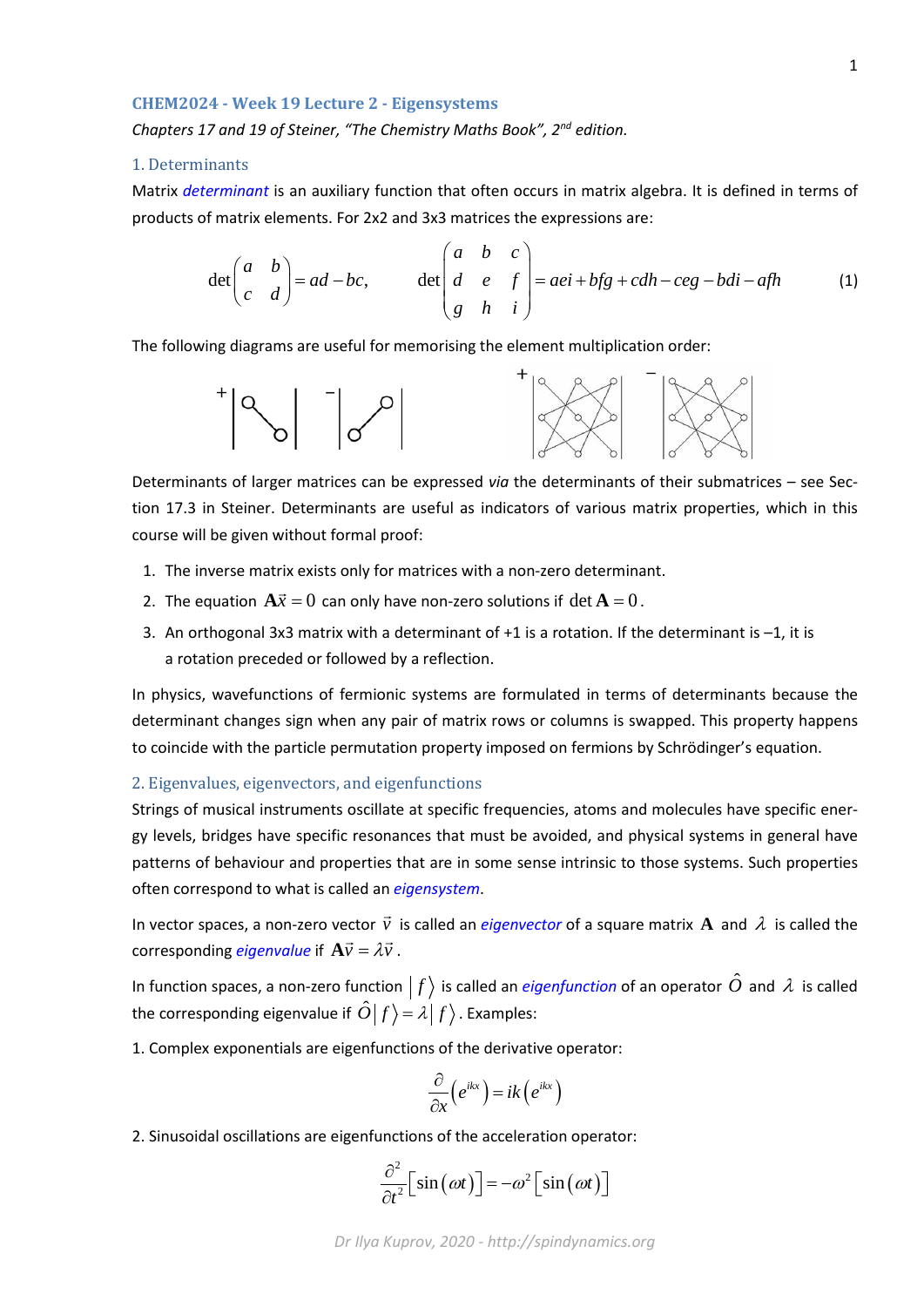#### **CHEM2024 - Week 19 Lecture 2 - Eigensystems**

*Chapters 17 and 19 of Steiner, "The Chemistry Maths Book", 2nd edition.*

# 1. Determinants

Matrix *determinant* is an auxiliary function that often occurs in matrix algebra. It is defined in terms of products of matrix elements. For 2x2 and 3x3 matrices the expressions are:

$$
\det\begin{pmatrix} a & b \\ c & d \end{pmatrix} = ad - bc, \qquad \det\begin{pmatrix} a & b & c \\ d & e & f \\ g & h & i \end{pmatrix} = aei + bfg + cdh - ceg - bdi - afh \tag{1}
$$

The following diagrams are useful for memorising the element multiplication order:



Determinants of larger matrices can be expressed *via* the determinants of their submatrices – see Section 17.3 in Steiner. Determinants are useful as indicators of various matrix properties, which in this course will be given without formal proof:

- 1. The inverse matrix exists only for matrices with a non-zero determinant.
- 2. The equation  $A\vec{x} = 0$  can only have non-zero solutions if det  $A = 0$ .
- 3. An orthogonal 3x3 matrix with a determinant of  $+1$  is a rotation. If the determinant is  $-1$ , it is a rotation preceded or followed by a reflection.

In physics, wavefunctions of fermionic systems are formulated in terms of determinants because the determinant changes sign when any pair of matrix rows or columns is swapped. This property happens to coincide with the particle permutation property imposed on fermions by Schrödinger's equation.

### 2. Eigenvalues, eigenvectors, and eigenfunctions

Strings of musical instruments oscillate at specific frequencies, atoms and molecules have specific energy levels, bridges have specific resonances that must be avoided, and physical systems in general have patterns of behaviour and properties that are in some sense intrinsic to those systems. Such properties often correspond to what is called an *eigensystem*.

In vector spaces, a non-zero vector  $\vec{v}$  is called an *eigenvector* of a square matrix  $\bf{A}$  and  $\lambda$  is called the corresponding *eigenvalue* if  $A\vec{v} = \lambda \vec{v}$ .

In function spaces, a non-zero function  $|f\rangle$  is called an *eigenfunction* of an operator  $\hat{O}$  and  $\lambda$  is called the corresponding eigenvalue if  $\hat{O}|f\rangle = \lambda |f\rangle$ . Examples:

1. Complex exponentials are eigenfunctions of the derivative operator:

$$
\frac{\partial}{\partial x}\left(e^{ikx}\right) = ik\left(e^{ikx}\right)
$$

2. Sinusoidal oscillations are eigenfunctions of the acceleration operator:

$$
\frac{\partial^2}{\partial t^2} \Big[ \sin(\omega t) \Big] = -\omega^2 \Big[ \sin(\omega t) \Big]
$$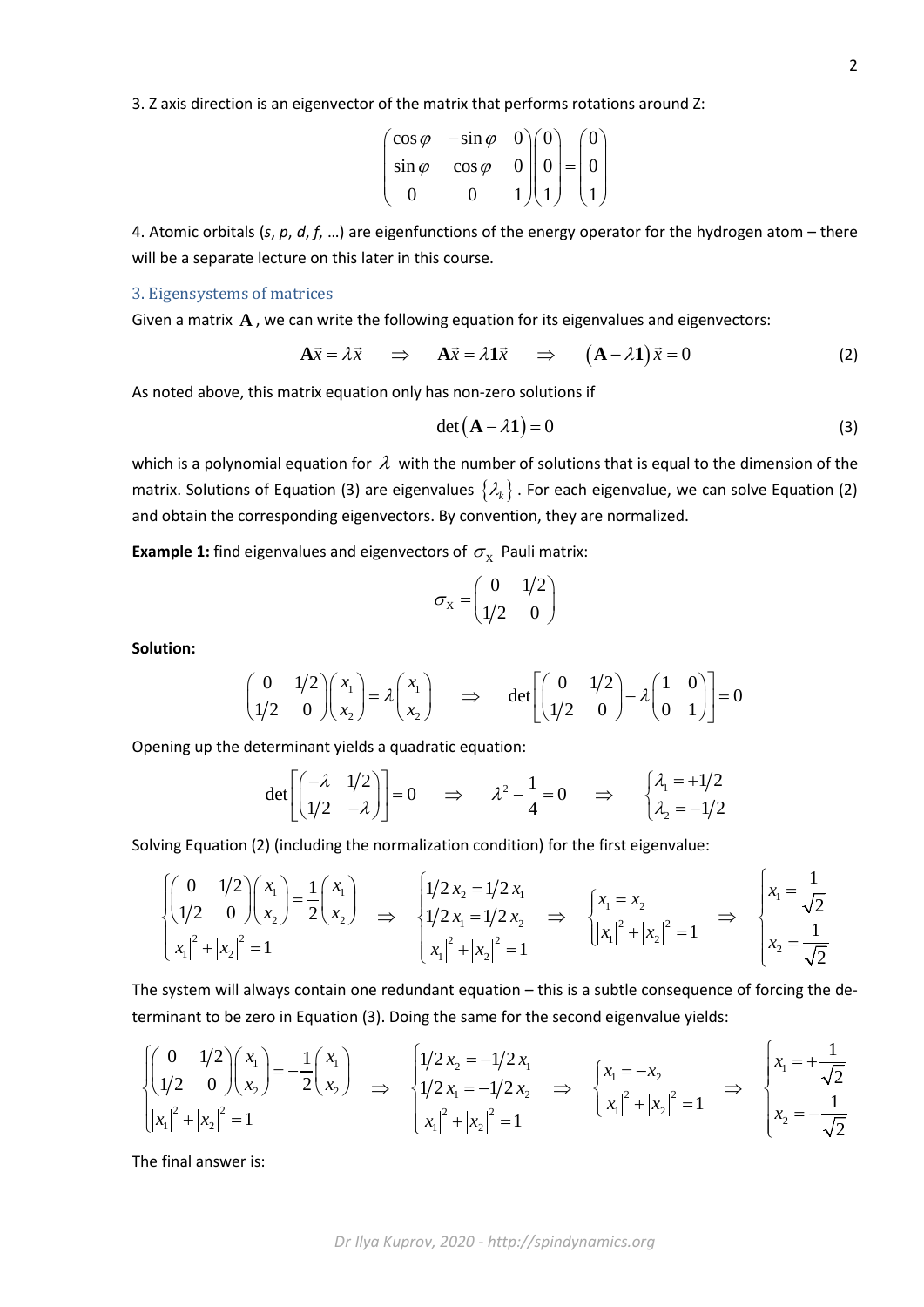3. Z axis direction is an eigenvector of the matrix that performs rotations around Z:

$$
\begin{pmatrix}\n\cos \varphi & -\sin \varphi & 0 \\
\sin \varphi & \cos \varphi & 0 \\
0 & 0 & 1\n\end{pmatrix}\n\begin{pmatrix}\n0 \\
0 \\
1\n\end{pmatrix} =\n\begin{pmatrix}\n0 \\
0 \\
1\n\end{pmatrix}
$$

4. Atomic orbitals (*s*, *p*, *d*, *f*, …) are eigenfunctions of the energy operator for the hydrogen atom – there will be a separate lecture on this later in this course.

# 3. Eigensystems of matrices

Given a matrix **A** , we can write the following equation for its eigenvalues and eigenvectors:

$$
\mathbf{A}\vec{x} = \lambda \vec{x} \quad \Rightarrow \quad \mathbf{A}\vec{x} = \lambda \mathbf{1}\vec{x} \quad \Rightarrow \quad (\mathbf{A} - \lambda \mathbf{1})\vec{x} = 0 \tag{2}
$$

As noted above, this matrix equation only has non-zero solutions if

$$
\det(\mathbf{A} - \lambda \mathbf{1}) = 0 \tag{3}
$$

which is a polynomial equation for  $\lambda$  with the number of solutions that is equal to the dimension of the matrix. Solutions of Equation (3) are eigenvalues  $\{\lambda_k\}$ . For each eigenvalue, we can solve Equation (2) and obtain the corresponding eigenvectors. By convention, they are normalized.

**Example 1:** find eigenvalues and eigenvectors of  $\sigma_X$  Pauli matrix:

$$
\sigma_{\rm X} = \begin{pmatrix} 0 & 1/2 \\ 1/2 & 0 \end{pmatrix}
$$

**Solution:**

$$
\begin{pmatrix} 0 & 1/2 \\ 1/2 & 0 \end{pmatrix} \begin{pmatrix} x_1 \\ x_2 \end{pmatrix} = \lambda \begin{pmatrix} x_1 \\ x_2 \end{pmatrix} \implies \det \begin{bmatrix} 0 & 1/2 \\ 1/2 & 0 \end{bmatrix} - \lambda \begin{pmatrix} 1 & 0 \\ 0 & 1 \end{pmatrix} = 0
$$

Opening up the determinant yields a quadratic equation:

$$
\det\left[\begin{pmatrix} -\lambda & 1/2 \\ 1/2 & -\lambda \end{pmatrix}\right] = 0 \quad \Rightarrow \quad \lambda^2 - \frac{1}{4} = 0 \quad \Rightarrow \quad \begin{cases} \lambda_1 = +1/2 \\ \lambda_2 = -1/2 \end{cases}
$$

Solving Equation (2) (including the normalization condition) for the first eigenvalue:

$$
\begin{cases}\n\begin{pmatrix}\n0 & 1/2 \\
1/2 & 0\n\end{pmatrix}\n\begin{pmatrix}\nx_1 \\
x_2\n\end{pmatrix} = \frac{1}{2}\n\begin{pmatrix}\nx_1 \\
x_2\n\end{pmatrix} \implies\n\begin{cases}\n1/2 x_2 = 1/2 x_1 \\
1/2 x_1 = 1/2 x_2 \implies\n\begin{cases}\nx_1 = x_2 \\
|x_1|^2 + |x_2|^2 = 1\n\end{cases} \implies\n\begin{cases}\nx_1 = \frac{1}{\sqrt{2}} \\
|x_1|^2 + |x_2|^2 = 1\n\end{cases}\n\implies\n\begin{cases}\nx_1 = \frac{1}{\sqrt{2}} \\
x_2 = \frac{1}{\sqrt{2}}\n\end{cases}
$$

The system will always contain one redundant equation – this is a subtle consequence of forcing the determinant to be zero in Equation (3). Doing the same for the second eigenvalue yields:

$$
\begin{cases}\n\begin{pmatrix}\n0 & 1/2 \\
1/2 & 0\n\end{pmatrix}\n\begin{pmatrix}\nx_1 \\
x_2\n\end{pmatrix} = -\frac{1}{2}\n\begin{pmatrix}\nx_1 \\
x_2\n\end{pmatrix} \implies\n\begin{cases}\n1/2 x_2 = -1/2 x_1 \\
1/2 x_1 = -1/2 x_2 \implies\n\begin{cases}\nx_1 = -x_2 \\
|x_1|^2 + |x_2|^2 = 1\n\end{cases} \implies\n\begin{cases}\nx_1 = +\frac{1}{\sqrt{2}} \\
x_2 = -\frac{1}{\sqrt{2}}\n\end{cases}
$$

The final answer is: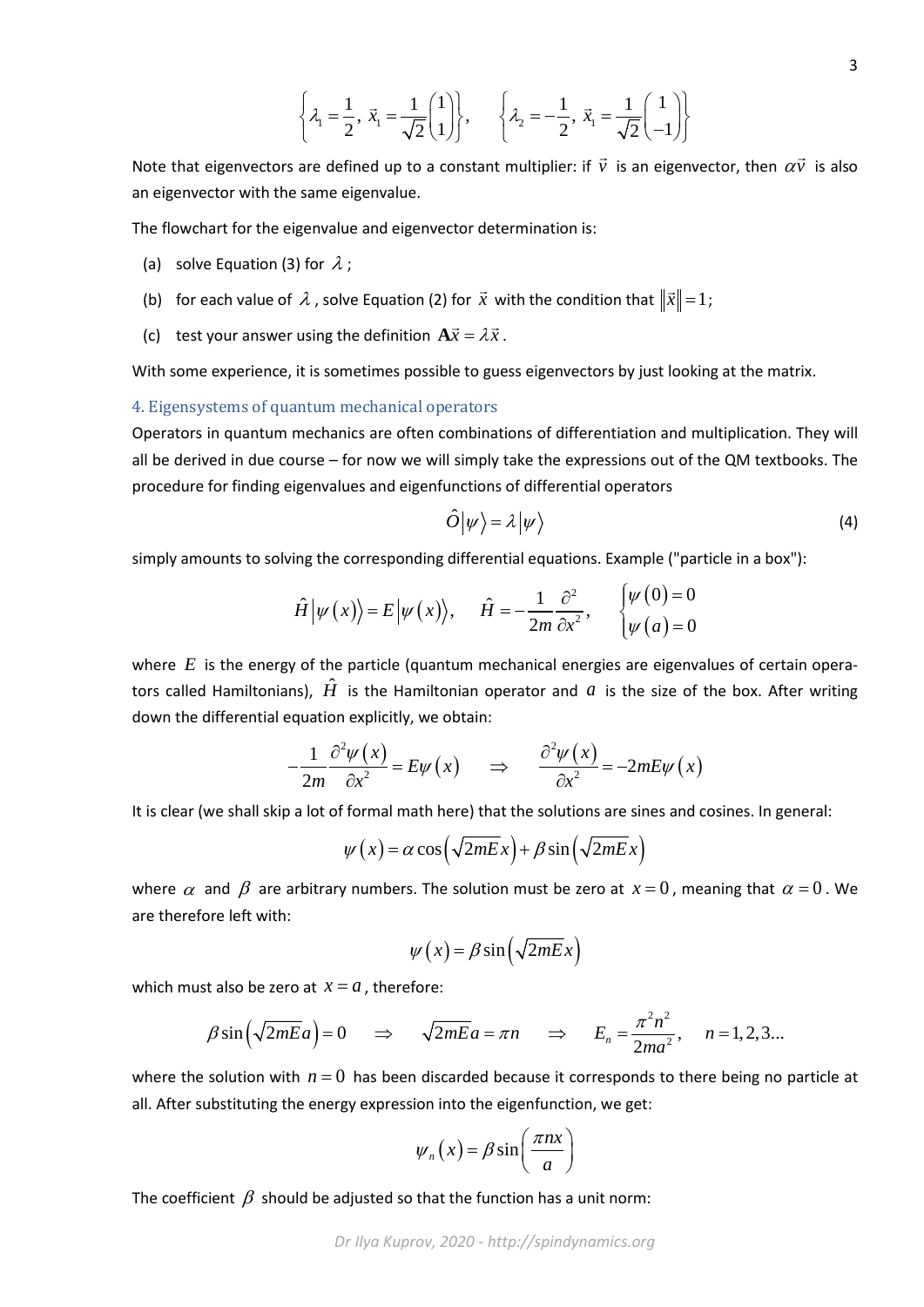$$
\left\{\lambda_1 = \frac{1}{2}, \ \vec{x}_1 = \frac{1}{\sqrt{2}} \begin{pmatrix} 1 \\ 1 \end{pmatrix} \right\}, \qquad \left\{\lambda_2 = -\frac{1}{2}, \ \vec{x}_1 = \frac{1}{\sqrt{2}} \begin{pmatrix} 1 \\ -1 \end{pmatrix} \right\}
$$

Note that eigenvectors are defined up to a constant multiplier: if  $\vec{v}$  is an eigenvector, then  $\alpha\vec{v}$  is also an eigenvector with the same eigenvalue.

The flowchart for the eigenvalue and eigenvector determination is:

- (a) solve Equation (3) for  $\lambda$  ;
- (b) for each value of  $\lambda$  , solve Equation (2) for  $\vec{x}$  with the condition that  $\|\vec{x}\|=1$ ;
- (c) test your answer using the definition  $A\vec{x} = \lambda \vec{x}$ .

With some experience, it is sometimes possible to guess eigenvectors by just looking at the matrix.

### 4. Eigensystems of quantum mechanical operators

Operators in quantum mechanics are often combinations of differentiation and multiplication. They will all be derived in due course – for now we will simply take the expressions out of the QM textbooks. The procedure for finding eigenvalues and eigenfunctions of differential operators

$$
\hat{O}|\psi\rangle = \lambda |\psi\rangle \tag{4}
$$

simply amounts to solving the corresponding differential equations. Example ("particle in a box"):

$$
\hat{H}|\psi(x)\rangle = E|\psi(x)\rangle, \quad \hat{H} = -\frac{1}{2m}\frac{\partial^2}{\partial x^2}, \quad \begin{cases} \psi(0) = 0\\ \psi(a) = 0 \end{cases}
$$

where *E* is the energy of the particle (quantum mechanical energies are eigenvalues of certain operators called Hamiltonians),  $\hat{H}$  is the Hamiltonian operator and  $a$  is the size of the box. After writing down the differential equation explicitly, we obtain:

$$
-\frac{1}{2m}\frac{\partial^2 \psi(x)}{\partial x^2} = E\psi(x) \quad \Rightarrow \quad \frac{\partial^2 \psi(x)}{\partial x^2} = -2mE\psi(x)
$$

It is clear (we shall skip a lot of formal math here) that the solutions are sines and cosines. In general:

$$
\psi(x) = \alpha \cos\left(\sqrt{2mE}x\right) + \beta \sin\left(\sqrt{2mE}x\right)
$$

where  $\alpha$  and  $\beta$  are arbitrary numbers. The solution must be zero at  $x=0$ , meaning that  $\alpha=0$ . We are therefore left with:

$$
\psi(x) = \beta \sin\left(\sqrt{2mEx}\right)
$$

which must also be zero at  $x = a$ , therefore:

$$
\beta \sin\left(\sqrt{2mE}a\right) = 0 \quad \Rightarrow \quad \sqrt{2mE}a = \pi n \quad \Rightarrow \quad E_n = \frac{\pi^2 n^2}{2ma^2}, \quad n = 1, 2, 3...
$$

where the solution with  $n = 0$  has been discarded because it corresponds to there being no particle at all. After substituting the energy expression into the eigenfunction, we get:

$$
\psi_n(x) = \beta \sin\left(\frac{\pi nx}{a}\right)
$$

The coefficient  $\beta$  should be adjusted so that the function has a unit norm: